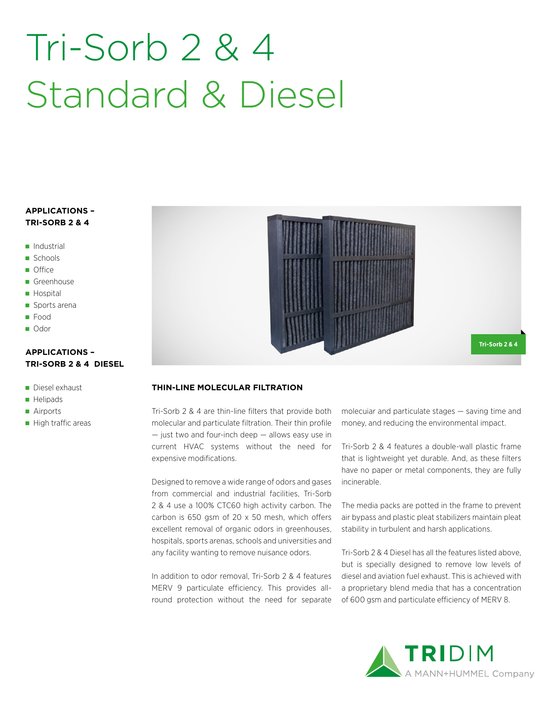# Tri-Sorb 2 & 4 Standard & Diesel

### **APPLICATIONS – TRI-SORB 2 & 4**

- Industrial
- Schools
- **Office**
- Greenhouse
- **Hospital**
- Sports arena
- **Food**
- Odor

#### **APPLICATIONS – TRI-SORB 2 & 4 DIESEL**

- Diesel exhaust
- **Helipads**
- Airports
- High traffic areas



#### **THIN-LINE MOLECULAR FILTRATION**

Tri-Sorb 2 & 4 are thin-line filters that provide both molecular and particulate filtration. Their thin profile  $-$  just two and four-inch deep  $-$  allows easy use in current HVAC systems without the need for expensive modifications.

Designed to remove a wide range of odors and gases from commercial and industrial facilities, Tri-Sorb 2 & 4 use a 100% CTC60 high activity carbon. The carbon is 650 gsm of 20 x 50 mesh, which offers excellent removal of organic odors in greenhouses, hospitals, sports arenas, schools and universities and any facility wanting to remove nuisance odors.

In addition to odor removal, Tri-Sorb 2 & 4 features MERV 9 particulate efficiency. This provides allround protection without the need for separate molecuiar and particulate stages — saving time and money, and reducing the environmental impact.

Tri-Sorb 2 & 4 features a double-wall plastic frame that is lightweight yet durable. And, as these filters have no paper or metal components, they are fully incinerable.

The media packs are potted in the frame to prevent air bypass and plastic pleat stabilizers maintain pleat stability in turbulent and harsh applications.

Tri-Sorb 2 & 4 Diesel has all the features listed above, but is specially designed to remove low levels of diesel and aviation fuel exhaust. This is achieved with a proprietary blend media that has a concentration of 600 gsm and particulate efficiency of MERV 8.